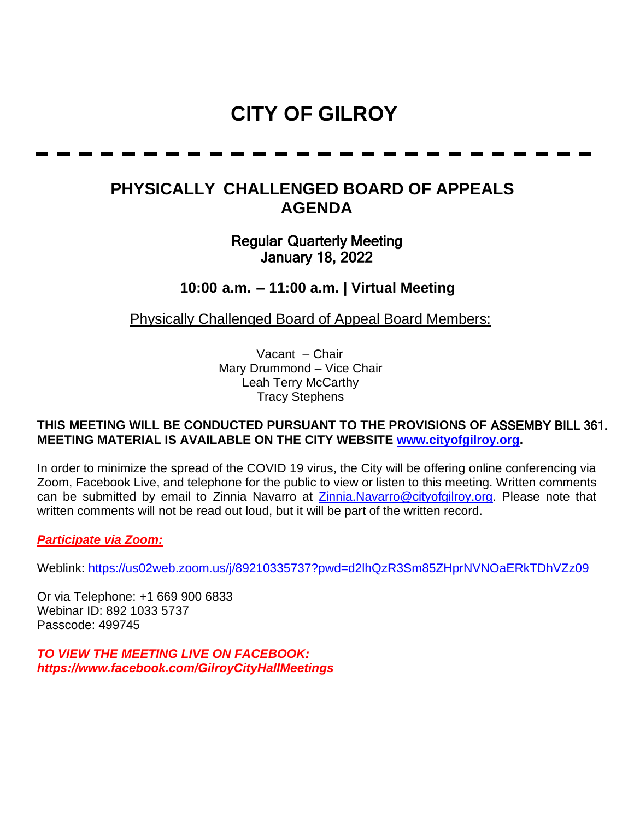# **CITY OF GILROY**

## **PHYSICALLY CHALLENGED BOARD OF APPEALS AGENDA**

### Regular Quarterly Meeting January 18, 2022

**10:00 a.m. – 11:00 a.m. | Virtual Meeting**

Physically Challenged Board of Appeal Board Members:

Vacant – Chair Mary Drummond – Vice Chair Leah Terry McCarthy Tracy Stephens

#### **THIS MEETING WILL BE CONDUCTED PURSUANT TO THE PROVISIONS OF** ASSEMBY BILL 361. **MEETING MATERIAL IS AVAILABLE ON THE CITY WEBSITE [www.cityofgilroy.org.](http://www.cityofgilroy.org/)**

In order to minimize the spread of the COVID 19 virus, the City will be offering online conferencing via Zoom, Facebook Live, and telephone for the public to view or listen to this meeting. Written comments can be submitted by email to Zinnia Navarro at [Zinnia.Navarro@cityofgilroy.org.](mailto:Zinnia.Navarro@cityofgilroy.org) Please note that written comments will not be read out loud, but it will be part of the written record.

#### *Participate via Zoom:*

Weblink:<https://us02web.zoom.us/j/89210335737?pwd=d2lhQzR3Sm85ZHprNVNOaERkTDhVZz09>

Or via Telephone: +1 669 900 6833 Webinar ID: 892 1033 5737 Passcode: 499745

*TO VIEW THE MEETING LIVE ON FACEBOOK: https://www.facebook.com/GilroyCityHallMeetings*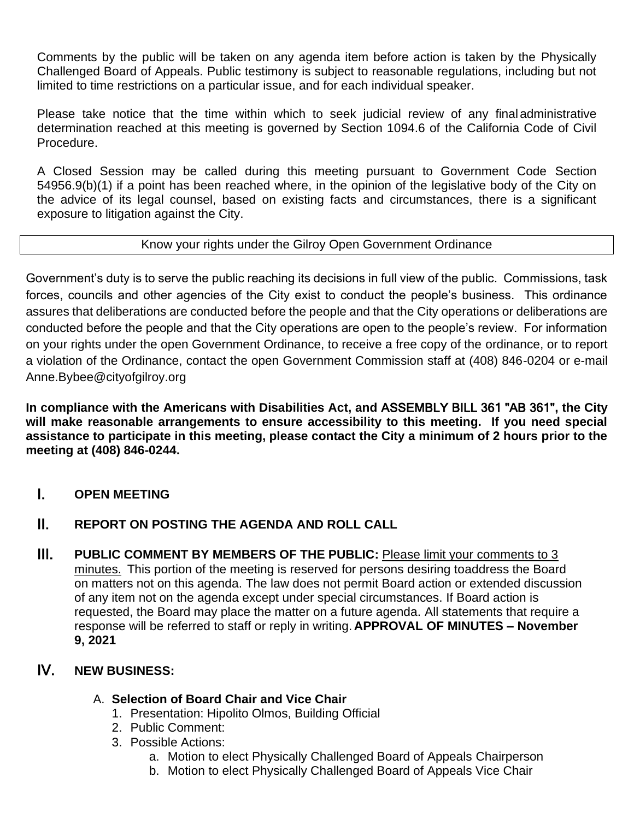Comments by the public will be taken on any agenda item before action is taken by the Physically Challenged Board of Appeals. Public testimony is subject to reasonable regulations, including but not limited to time restrictions on a particular issue, and for each individual speaker.

Please take notice that the time within which to seek judicial review of any final administrative determination reached at this meeting is governed by Section 1094.6 of the California Code of Civil Procedure.

A Closed Session may be called during this meeting pursuant to Government Code Section 54956.9(b)(1) if a point has been reached where, in the opinion of the legislative body of the City on the advice of its legal counsel, based on existing facts and circumstances, there is a significant exposure to litigation against the City.

#### Know your rights under the Gilroy Open Government Ordinance

Government's duty is to serve the public reaching its decisions in full view of the public. Commissions, task forces, councils and other agencies of the City exist to conduct the people's business. This ordinance assures that deliberations are conducted before the people and that the City operations or deliberations are conducted before the people and that the City operations are open to the people's review. For information on your rights under the open Government Ordinance, to receive a free copy of the ordinance, or to report a violation of the Ordinance, contact the open Government Commission staff at (408) 846-0204 or e-mail Anne.Bybee@cityofgilroy.org

**In compliance with the Americans with Disabilities Act, and** ASSEMBLY BILL 361 "AB 361"**, the City will make reasonable arrangements to ensure accessibility to this meeting. If you need special assistance to participate in this meeting, please contact the City a minimum of 2 hours prior to the meeting at (408) 846-0244.**

- I. **OPEN MEETING**
- II. **REPORT ON POSTING THE AGENDA AND ROLL CALL**
- **III.** PUBLIC COMMENT BY MEMBERS OF THE PUBLIC: Please limit your comments to 3 minutes. This portion of the meeting is reserved for persons desiring toaddress the Board on matters not on this agenda. The law does not permit Board action or extended discussion of any item not on the agenda except under special circumstances. If Board action is requested, the Board may place the matter on a future agenda. All statements that require a response will be referred to staff or reply in writing. **APPROVAL OF MINUTES – November 9, 2021**

#### IV. **NEW BUSINESS:**

- A. **Selection of Board Chair and Vice Chair**
	- 1. Presentation: Hipolito Olmos, Building Official
	- 2. Public Comment:
	- 3. Possible Actions:
		- a. Motion to elect Physically Challenged Board of Appeals Chairperson
		- b. Motion to elect Physically Challenged Board of Appeals Vice Chair